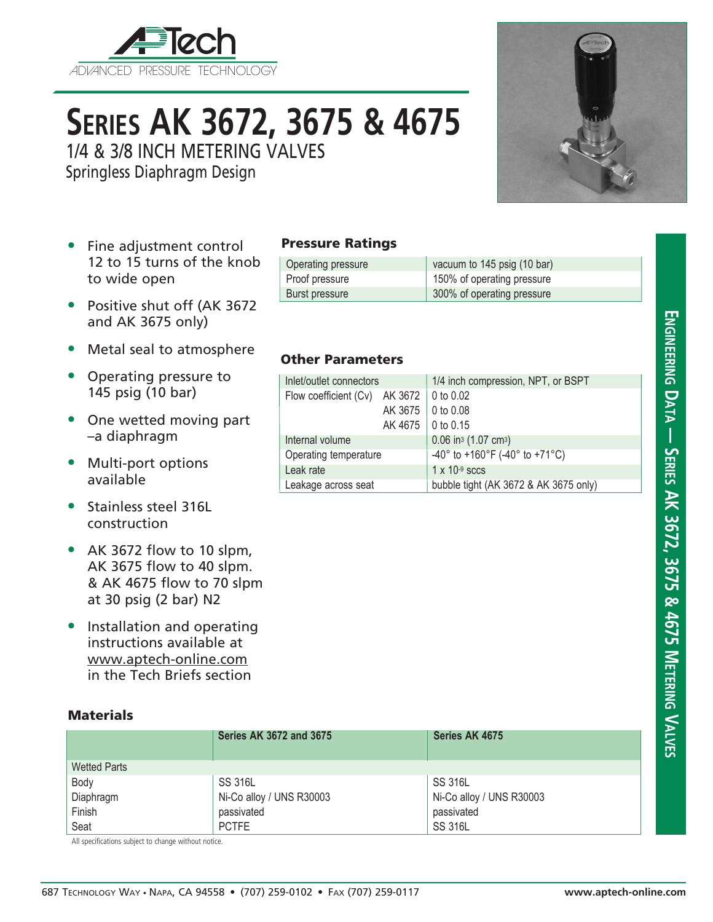

# **Series AK 3672, 3675 & 4675**

1/4 & 3/8 INCH METERING VALVES

Springless Diaphragm Design

- Fine adjustment control 12 to 15 turns of the knob to wide open
- Positive shut off (AK 3672 and AK 3675 only)
- Metal seal to atmosphere
- Operating pressure to 145 psig (10 bar)
- One wetted moving part –a diaphragm
- Multi-port options available
- Stainless steel 316L construction
- AK 3672 flow to 10 slpm, AK 3675 flow to 40 slpm. & AK 4675 flow to 70 slpm at 30 psig (2 bar) N2
- Installation and operating instructions available at www.aptech-online.com in the Tech Briefs section

### **Materials**

|                     | <b>Series AK 3672 and 3675</b> | Series AK 4675           |  |
|---------------------|--------------------------------|--------------------------|--|
| <b>Wetted Parts</b> |                                |                          |  |
| Body                | <b>SS 316L</b>                 | <b>SS 316L</b>           |  |
| Diaphragm           | Ni-Co alloy / UNS R30003       | Ni-Co alloy / UNS R30003 |  |
| Finish              | passivated                     | passivated               |  |
| Seat                | <b>PCTFE</b>                   | <b>SS 316L</b>           |  |

All specifications subject to change without notice.



#### Pressure Ratings

| Operating pressure | vacuum to 145 psig (10 bar) |
|--------------------|-----------------------------|
| Proof pressure     | 150% of operating pressure  |
| Burst pressure     | 300% of operating pressure  |

#### Other Parameters

| Inlet/outlet connectors                         |                     | 1/4 inch compression, NPT, or BSPT                                    |  |  |
|-------------------------------------------------|---------------------|-----------------------------------------------------------------------|--|--|
| Flow coefficient (Cv) AK 3672 $\vert$ 0 to 0.02 |                     |                                                                       |  |  |
|                                                 | AK 3675             | 0 to 0.08                                                             |  |  |
|                                                 | AK 4675   0 to 0.15 |                                                                       |  |  |
| Internal volume                                 |                     | $0.06$ in <sup>3</sup> (1.07 cm <sup>3</sup> )                        |  |  |
| Operating temperature                           |                     | $-40^{\circ}$ to $+160^{\circ}$ F ( $-40^{\circ}$ to $+71^{\circ}$ C) |  |  |
| Leak rate                                       |                     | $1 \times 10^{-9}$ sccs                                               |  |  |
| Leakage across seat                             |                     | bubble tight (AK 3672 & AK 3675 only)                                 |  |  |